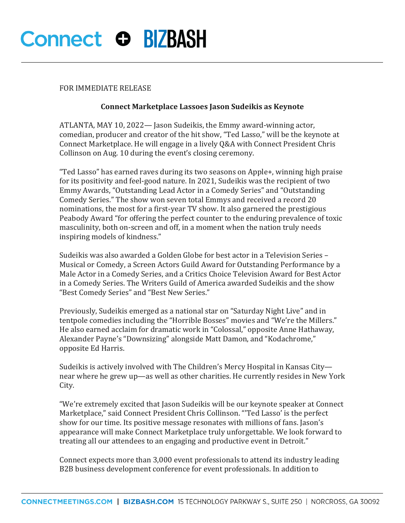# **Connect O BIZBASH**

### FOR IMMEDIATE RELEASE

### **Connect Marketplace Lassoes Jason Sudeikis as Keynote**

ATLANTA, MAY 10, 2022— Jason Sudeikis, the Emmy award-winning actor, comedian, producer and creator of the hit show, "Ted Lasso," will be the keynote at Connect Marketplace. He will engage in a lively Q&A with Connect President Chris Collinson on Aug. 10 during the event's closing ceremony.

"Ted Lasso" has earned raves during its two seasons on Apple+, winning high praise for its positivity and feel-good nature. In 2021, Sudeikis was the recipient of two Emmy Awards, "Outstanding Lead Actor in a Comedy Series" and "Outstanding Comedy Series." The show won seven total Emmys and received a record 20 nominations, the most for a first-year TV show. It also garnered the prestigious Peabody Award "for offering the perfect counter to the enduring prevalence of toxic masculinity, both on-screen and off, in a moment when the nation truly needs inspiring models of kindness."

Sudeikis was also awarded a Golden Globe for best actor in a Television Series – Musical or Comedy, a Screen Actors Guild Award for Outstanding Performance by a Male Actor in a Comedy Series, and a Critics Choice Television Award for Best Actor in a Comedy Series. The Writers Guild of America awarded Sudeikis and the show "Best Comedy Series" and "Best New Series."

Previously, Sudeikis emerged as a national star on "Saturday Night Live" and in tentpole comedies including the "Horrible Bosses" movies and "We're the Millers." He also earned acclaim for dramatic work in "Colossal," opposite Anne Hathaway, Alexander Payne's "Downsizing" alongside Matt Damon, and "Kodachrome," opposite Ed Harris.

Sudeikis is actively involved with The Children's Mercy Hospital in Kansas City near where he grew up—as well as other charities. He currently resides in New York City.

"We're extremely excited that Jason Sudeikis will be our keynote speaker at Connect Marketplace," said Connect President Chris Collinson. "'Ted Lasso' is the perfect show for our time. Its positive message resonates with millions of fans. Jason's appearance will make Connect Marketplace truly unforgettable. We look forward to treating all our attendees to an engaging and productive event in Detroit."

Connect expects more than 3,000 event professionals to attend its industry leading B2B business development conference for event professionals. In addition to